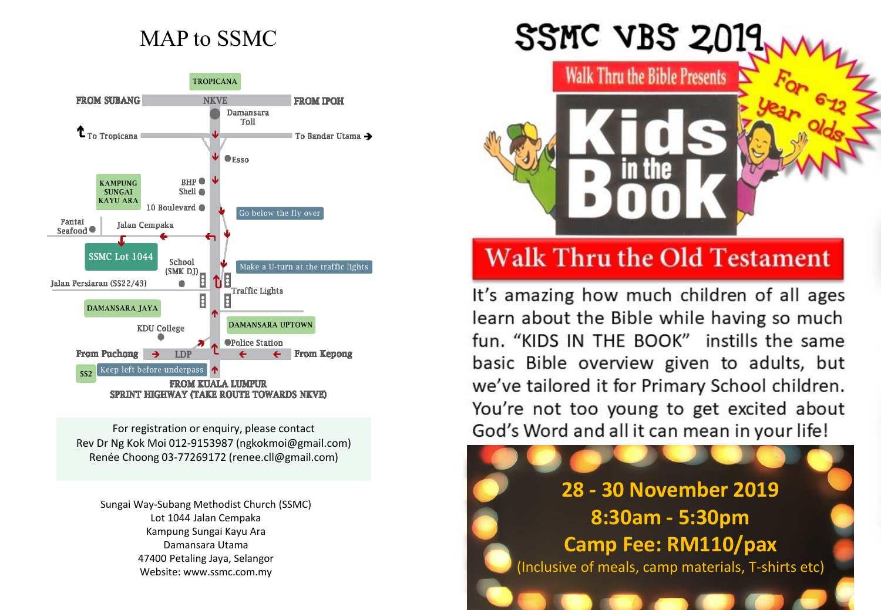## MAP to SSMC



For registration or enquiry, please contact Rev Dr Ng Kok Moi 012-9153987 (ngkokmoi@gmail.com) Renée Choong 03-77269172 (renee.cll@gmail.com)

Sungai Way-Subang Methodist Church (SSMC) Lot 1044 Jalan Cempaka Kampung Sungai Kayu Ara Damansara Utama 47400 Petaling Jaya, Selangor Website: www.ssmc.com.my

# SSMC VBS  $2019$

**Walk Thru the Bible Presents** 

## **Walk Thru the Old Testament**

It's amazing how much children of all ages learn about the Bible while having so much fun. "KIDS IN THE BOOK" instills the same basic Bible overview given to adults, but we've tailored it for Primary School children. You're not too young to get excited about God's Word and all it can mean in your life!